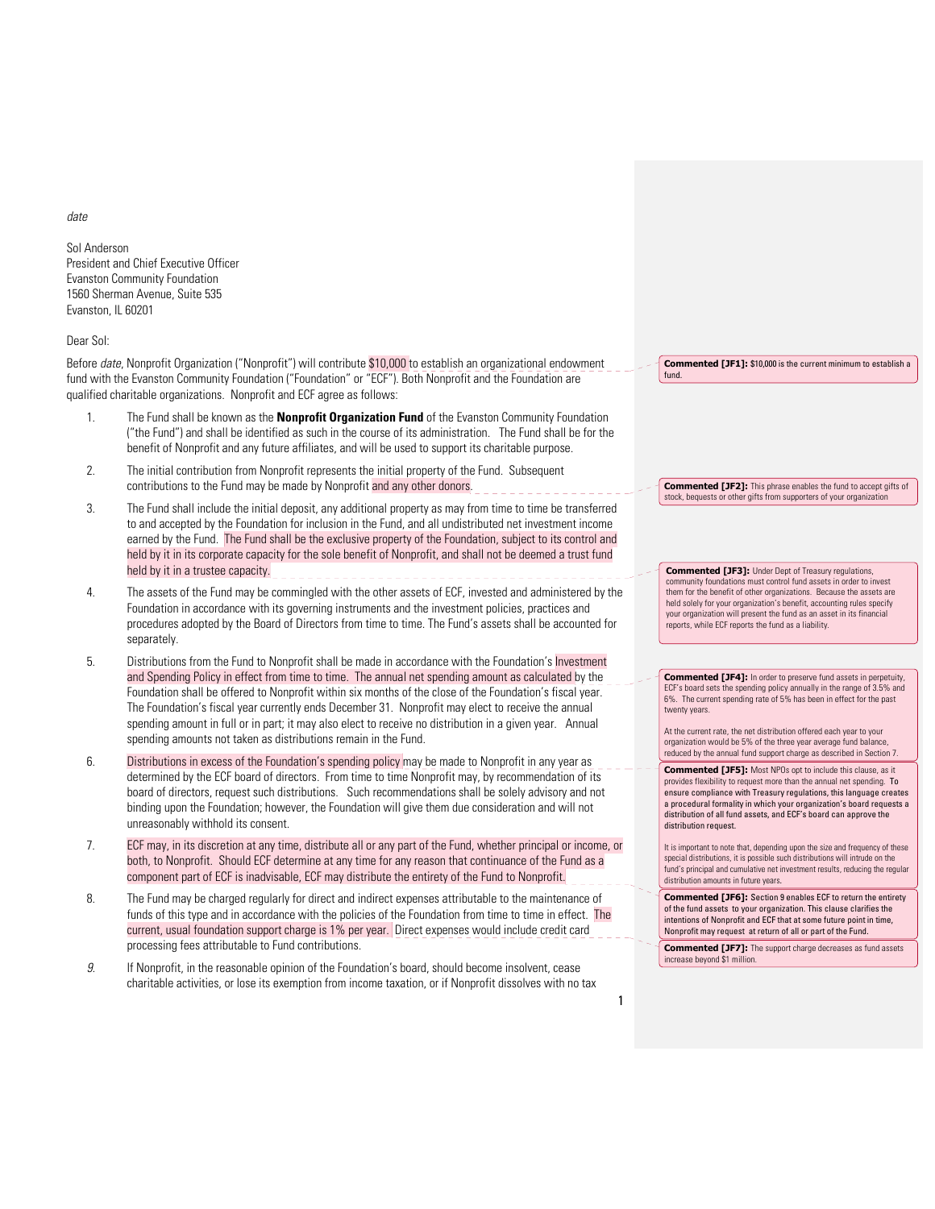date

Sol Anderson President and Chief Executive Officer Evanston Community Foundation 1560 Sherman Avenue, Suite 535 Evanston, IL 60201

Dear Sol:

Before *date*, Nonprofit Organization ("Nonprofit") will contribute \$10,000 to establish an organizational endowment fund with the Evanston Community Foundation ("Foundation" or "ECF"). Both Nonprofit and the Foundation are qualified charitable organizations. Nonprofit and ECF agree as follows:

- 1. The Fund shall be known as the **Nonprofit Organization Fund** of the Evanston Community Foundation ("the Fund") and shall be identified as such in the course of its administration. The Fund shall be for the benefit of Nonprofit and any future affiliates, and will be used to support its charitable purpose.
- 2. The initial contribution from Nonprofit represents the initial property of the Fund. Subsequent contributions to the Fund may be made by Nonprofit and any other donors.
- 3. The Fund shall include the initial deposit, any additional property as may from time to time be transferred to and accepted by the Foundation for inclusion in the Fund, and all undistributed net investment income earned by the Fund. The Fund shall be the exclusive property of the Foundation, subject to its control and held by it in its corporate capacity for the sole benefit of Nonprofit, and shall not be deemed a trust fund held by it in a trustee capacity. \_\_\_\_\_\_\_\_\_\_\_\_\_\_\_\_\_\_\_\_\_\_\_\_\_\_\_\_\_
- 4. The assets of the Fund may be commingled with the other assets of ECF, invested and administered by the Foundation in accordance with its governing instruments and the investment policies, practices and procedures adopted by the Board of Directors from time to time. The Fund's assets shall be accounted for separately.
- 5. Distributions from the Fund to Nonprofit shall be made in accordance with the Foundation's Investment and Spending Policy in effect from time to time. The annual net spending amount as calculated by the Foundation shall be offered to Nonprofit within six months of the close of the Foundation's fiscal year. The Foundation's fiscal year currently ends December 31. Nonprofit may elect to receive the annual spending amount in full or in part; it may also elect to receive no distribution in a given year. Annual spending amounts not taken as distributions remain in the Fund.
- 6. Distributions in excess of the Foundation's spending policy may be made to Nonprofit in any year as determined by the ECF board of directors. From time to time Nonprofit may, by recommendation of its board of directors, request such distributions. Such recommendations shall be solely advisory and not binding upon the Foundation; however, the Foundation will give them due consideration and will not unreasonably withhold its consent.
- 7. ECF may, in its discretion at any time, distribute all or any part of the Fund, whether principal or income, or both, to Nonprofit. Should ECF determine at any time for any reason that continuance of the Fund as a component part of ECF is inadvisable, ECF may distribute the entirety of the Fund to Nonprofit.
- 8. The Fund may be charged regularly for direct and indirect expenses attributable to the maintenance of funds of this type and in accordance with the policies of the Foundation from time to time in effect. The current, usual foundation support charge is 1% per year. Direct expenses would include credit card processing fees attributable to Fund contributions.
- 9. If Nonprofit, in the reasonable opinion of the Foundation's board, should become insolvent, cease charitable activities, or lose its exemption from income taxation, or if Nonprofit dissolves with no tax

**Commented [JF1]:** \$10,000 is the current minimum to establish a fund.

**Commented [JF2]:** This phrase enables the fund to accept gifts of stock, bequests or other gifts from supporters of your organization

**Commented [JF3]:** Under Dept of Treasury regulations, community foundations must control fund assets in order to invest them for the benefit of other organizations. Because the assets are held solely for your organization's benefit, accounting rules specify your organization will present the fund as an asset in its financial reports, while ECF reports the fund as a liability.

**Commented [JF4]:** In order to preserve fund assets in perpetuity, ECF's board sets the spending policy annually in the range of 3.5% and 6%. The current spending rate of 5% has been in effect for the past twenty years.

At the current rate, the net distribution offered each year to your organization would be 5% of the three year average fund balance, reduced by the annual fund support charge as described in Section 7.

**Commented [JF5]:** Most NPOs opt to include this clause, as it provides flexibility to request more than the annual net spending. To ensure compliance with Treasury regulations, this language creates a procedural formality in which your organization's board requests a distribution of all fund assets, and ECF's board can approve the distribution request.

It is important to note that, depending upon the size and frequency of these special distributions, it is possible such distributions will intrude on the fund's principal and cumulative net investment results, reducing the regular distribution amounts in future years.

**Commented [JF6]:** Section 9 enables ECF to return the entirety of the fund assets to your organization. This clause clarifies the intentions of Nonprofit and ECF that at some future point in time, Nonprofit may request at return of all or part of the Fund.

**Commented [JF7]:** The support charge decreases as fund assets increase beyond \$1 million.

1